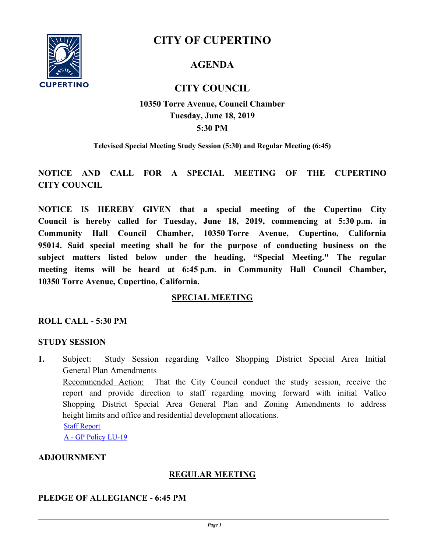

# **CITY OF CUPERTINO**

## **AGENDA**

## **CITY COUNCIL**

## **5:30 PM 10350 Torre Avenue, Council Chamber Tuesday, June 18, 2019**

**Televised Special Meeting Study Session (5:30) and Regular Meeting (6:45)**

## **NOTICE AND CALL FOR A SPECIAL MEETING OF THE CUPERTINO CITY COUNCIL**

**NOTICE IS HEREBY GIVEN that a special meeting of the Cupertino City Council is hereby called for Tuesday, June 18, 2019, commencing at 5:30 p.m. in Community Hall Council Chamber, 10350 Torre Avenue, Cupertino, California 95014. Said special meeting shall be for the purpose of conducting business on the subject matters listed below under the heading, "Special Meeting." The regular meeting items will be heard at 6:45 p.m. in Community Hall Council Chamber, 10350 Torre Avenue, Cupertino, California.**

## **SPECIAL MEETING**

## **ROLL CALL - 5:30 PM**

#### **STUDY SESSION**

**1.** [Subject: Study Session regarding Vallco Shopping District Special Area Initial](http://cupertino.legistar.com/gateway.aspx?m=l&id=6760)  General Plan Amendments Recommended Action:That the City Council conduct the study session, receive the report and provide direction to staff regarding moving forward with initial Vallco Shopping District Special Area General Plan and Zoning Amendments to address height limits and office and residential development allocations. [Staff Report](http://cupertino.legistar.com/gateway.aspx?M=F&ID=a461c157-fe96-4f1a-a37d-a8aa089b3bac.docx) [A - GP Policy LU-19](http://cupertino.legistar.com/gateway.aspx?M=F&ID=cf97a05c-bc77-4601-bc9d-c97975a15dbb.pdf)

**ADJOURNMENT**

## **REGULAR MEETING**

## **PLEDGE OF ALLEGIANCE - 6:45 PM**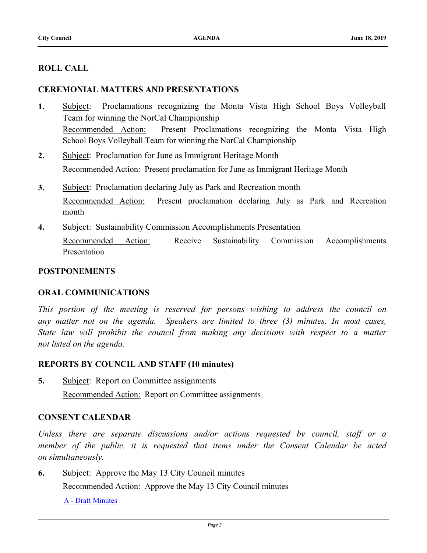## **ROLL CALL**

### **CEREMONIAL MATTERS AND PRESENTATIONS**

- **1.** [Subject: Proclamations recognizing the Monta Vista High School Boys Volleyball](http://cupertino.legistar.com/gateway.aspx?m=l&id=6580)  Team for winning the NorCal Championship Recommended Action:Present Proclamations recognizing the Monta Vista High School Boys Volleyball Team for winning the NorCal Championship
- **2.** [Subject: Proclamation for June as Immigrant Heritage Month](http://cupertino.legistar.com/gateway.aspx?m=l&id=6586) Recommended Action:Present proclamation for June as Immigrant Heritage Month
- **3.** [Subject: Proclamation declaring July as Park and Recreation month](http://cupertino.legistar.com/gateway.aspx?m=l&id=6321) Recommended Action:Present proclamation declaring July as Park and Recreation month
- **4.** [Subject: Sustainability Commission Accomplishments Presentation](http://cupertino.legistar.com/gateway.aspx?m=l&id=6584) Recommended Action:Receive Sustainability Commission Accomplishments Presentation

#### **POSTPONEMENTS**

#### **ORAL COMMUNICATIONS**

*This portion of the meeting is reserved for persons wishing to address the council on any matter not on the agenda. Speakers are limited to three (3) minutes. In most cases, State law will prohibit the council from making any decisions with respect to a matter not listed on the agenda.*

#### **REPORTS BY COUNCIL AND STAFF (10 minutes)**

**5.** [Subject: Report on Committee assignments](http://cupertino.legistar.com/gateway.aspx?m=l&id=6759) Recommended Action:Report on Committee assignments

#### **CONSENT CALENDAR**

*Unless there are separate discussions and/or actions requested by council, staff or a member of the public, it is requested that items under the Consent Calendar be acted on simultaneously.*

**6.** [Subject: Approve the May 13 City Council minutes](http://cupertino.legistar.com/gateway.aspx?m=l&id=6317)

Recommended Action:Approve the May 13 City Council minutes

[A - Draft Minutes](http://cupertino.legistar.com/gateway.aspx?M=F&ID=d4f2e009-f001-4e80-a6f6-97d9c4c0e73b.docx)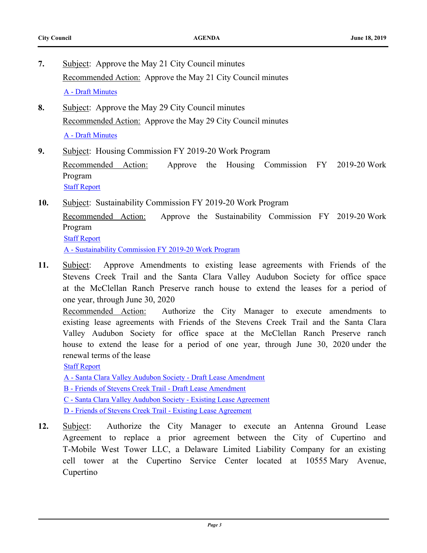- **7.** [Subject: Approve the May 21 City Council minutes](http://cupertino.legistar.com/gateway.aspx?m=l&id=5994) Recommended Action:Approve the May 21 City Council minutes [A - Draft Minutes](http://cupertino.legistar.com/gateway.aspx?M=F&ID=cb14a99a-ed8f-4ced-92f4-2737d159fca7.docx)
- **8.** [Subject: Approve the May 29 City Council minutes](http://cupertino.legistar.com/gateway.aspx?m=l&id=6516) Recommended Action:Approve the May 29 City Council minutes [A - Draft Minutes](http://cupertino.legistar.com/gateway.aspx?M=F&ID=ae42c65e-a6c3-40fa-b160-4d0c7db3aef5.docx)
- **9.** [Subject: Housing Commission FY 2019-20 Work Program](http://cupertino.legistar.com/gateway.aspx?m=l&id=6579) Recommended Action:Approve the Housing Commission FY 2019-20 Work Program [Staff Report](http://cupertino.legistar.com/gateway.aspx?M=F&ID=c2edd21c-2d06-4e76-84fd-954a449aa3ca.docx)
- **10.** [Subject: Sustainability Commission FY 2019-20 Work Program](http://cupertino.legistar.com/gateway.aspx?m=l&id=6583)

Recommended Action:Approve the Sustainability Commission FY 2019-20 Work Program [Staff Report](http://cupertino.legistar.com/gateway.aspx?M=F&ID=0a846e1e-cd2d-473d-b61e-79ded0afee5e.docx)

[A - Sustainability Commission FY 2019-20 Work Program](http://cupertino.legistar.com/gateway.aspx?M=F&ID=494d1a5f-8fe8-4a54-b4b0-bfb5643bd7ef.pdf)

**11.** [Subject: Approve Amendments to existing lease agreements with Friends of the](http://cupertino.legistar.com/gateway.aspx?m=l&id=6740)  Stevens Creek Trail and the Santa Clara Valley Audubon Society for office space at the McClellan Ranch Preserve ranch house to extend the leases for a period of one year, through June 30, 2020

Recommended Action:Authorize the City Manager to execute amendments to existing lease agreements with Friends of the Stevens Creek Trail and the Santa Clara Valley Audubon Society for office space at the McClellan Ranch Preserve ranch house to extend the lease for a period of one year, through June 30, 2020 under the renewal terms of the lease

[Staff Report](http://cupertino.legistar.com/gateway.aspx?M=F&ID=992b9069-8a59-40cc-b6ee-f722763458d0.docx)

[A - Santa Clara Valley Audubon Society - Draft Lease Amendment](http://cupertino.legistar.com/gateway.aspx?M=F&ID=ddf7c1e0-6667-49b3-8da5-254278115931.pdf)

[B - Friends of Stevens Creek Trail - Draft Lease Amendment](http://cupertino.legistar.com/gateway.aspx?M=F&ID=746ef89b-ef39-4f3d-aff3-acd6aff362c4.pdf)

[C - Santa Clara Valley Audubon Society - Existing Lease Agreement](http://cupertino.legistar.com/gateway.aspx?M=F&ID=72e6b936-3e48-43cb-af55-dc47169bb760.pdf)

[D - Friends of Stevens Creek Trail - Existing Lease Agreement](http://cupertino.legistar.com/gateway.aspx?M=F&ID=333ff5b3-61a6-4c11-a359-c4277d7805d1.pdf)

**12.** [Subject: Authorize the City Manager to execute an Antenna Ground Lease](http://cupertino.legistar.com/gateway.aspx?m=l&id=6615)  Agreement to replace a prior agreement between the City of Cupertino and T-Mobile West Tower LLC, a Delaware Limited Liability Company for an existing cell tower at the Cupertino Service Center located at 10555 Mary Avenue, Cupertino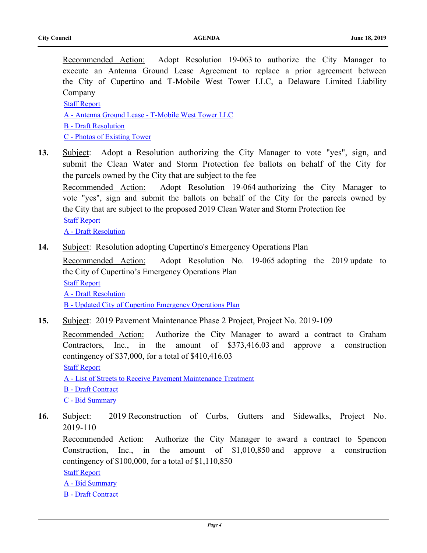Recommended Action:Adopt Resolution 19-063 to authorize the City Manager to execute an Antenna Ground Lease Agreement to replace a prior agreement between the City of Cupertino and T-Mobile West Tower LLC, a Delaware Limited Liability Company

[Staff Report](http://cupertino.legistar.com/gateway.aspx?M=F&ID=c2da7267-8f6d-47e9-bdbc-fcd01feeaa38.docx)

[A - Antenna Ground Lease - T-Mobile West Tower LLC](http://cupertino.legistar.com/gateway.aspx?M=F&ID=79711984-620d-4480-a7d4-1afaa61d7ada.pdf)

[B - Draft Resolution](http://cupertino.legistar.com/gateway.aspx?M=F&ID=d51129df-0347-4dbc-982c-5b4b09a88ded.docx)

[C - Photos of Existing Tower](http://cupertino.legistar.com/gateway.aspx?M=F&ID=c8c39045-6334-4b60-ba17-a992c69bdca7.pdf)

**13.** [Subject: Adopt a Resolution authorizing the City Manager to vote "yes", sign, and](http://cupertino.legistar.com/gateway.aspx?m=l&id=6770) submit the Clean Water and Storm Protection fee ballots on behalf of the City for the parcels owned by the City that are subject to the fee

Recommended Action:Adopt Resolution 19-064 authorizing the City Manager to vote "yes", sign and submit the ballots on behalf of the City for the parcels owned by the City that are subject to the proposed 2019 Clean Water and Storm Protection fee [Staff Report](http://cupertino.legistar.com/gateway.aspx?M=F&ID=353c0a82-a1c7-4e3e-87be-bb7192cf3595.docx)

[A - Draft Resolution](http://cupertino.legistar.com/gateway.aspx?M=F&ID=d7238ede-7f7d-4a97-8677-3c6ad3d83964.docx)

**14.** [Subject: Resolution adopting Cupertino's Emergency Operations Plan](http://cupertino.legistar.com/gateway.aspx?m=l&id=6315)

Recommended Action:Adopt Resolution No. 19-065 adopting the 2019 update to the City of Cupertino's Emergency Operations Plan [Staff Report](http://cupertino.legistar.com/gateway.aspx?M=F&ID=0212c8f2-18ca-442b-8175-50bc37c9a51a.docx) [A - Draft Resolution](http://cupertino.legistar.com/gateway.aspx?M=F&ID=4952f752-9a4d-46ac-b610-833b8e8df733.docx)

[B - Updated City of Cupertino Emergency Operations Plan](http://cupertino.legistar.com/gateway.aspx?M=F&ID=d6370f34-030d-4baa-8b63-3f5386895c32.pdf)

**15.** [Subject: 2019 Pavement Maintenance Phase 2 Project, Project No. 2019-109](http://cupertino.legistar.com/gateway.aspx?m=l&id=6482)

Recommended Action:Authorize the City Manager to award a contract to Graham Contractors, Inc., in the amount of \$373,416.03 and approve a construction contingency of \$37,000, for a total of \$410,416.03

[Staff Report](http://cupertino.legistar.com/gateway.aspx?M=F&ID=d758d703-a274-4eea-ad22-01a3ad66719b.docx)

[A - List of Streets to Receive Pavement Maintenance Treatment](http://cupertino.legistar.com/gateway.aspx?M=F&ID=865fa45c-1bb7-42d0-b1df-016429b3c26e.pdf)

[B - Draft Contract](http://cupertino.legistar.com/gateway.aspx?M=F&ID=cf5fe9ba-21af-4d9a-bbbc-ab2760e2d27e.pdf)

[C - Bid Summary](http://cupertino.legistar.com/gateway.aspx?M=F&ID=62d28a58-12be-4a21-849f-2d4811ad5602.pdf)

**16.** [Subject: 2019 Reconstruction of Curbs, Gutters and Sidewalks, Project No.](http://cupertino.legistar.com/gateway.aspx?m=l&id=6737) 2019-110

Recommended Action:Authorize the City Manager to award a contract to Spencon Construction, Inc., in the amount of \$1,010,850 and approve a construction contingency of \$100,000, for a total of \$1,110,850

**[Staff Report](http://cupertino.legistar.com/gateway.aspx?M=F&ID=faa14f3f-21e7-4f1a-bb12-36fdc65a96b0.docx)** 

[A - Bid Summary](http://cupertino.legistar.com/gateway.aspx?M=F&ID=860872f2-670b-4a97-bb38-03cdcf5d92f3.pdf)

[B - Draft Contract](http://cupertino.legistar.com/gateway.aspx?M=F&ID=c7472f26-8f7e-4349-9a15-658da10d55e2.pdf)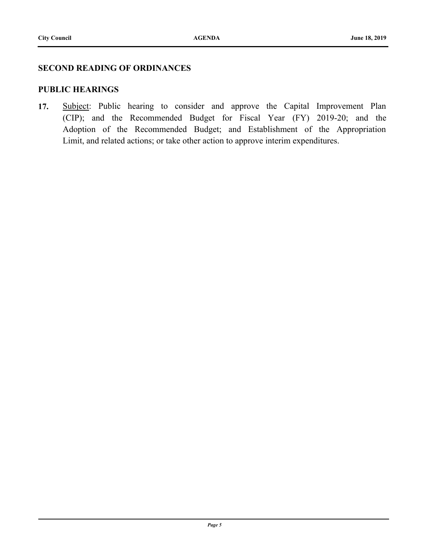#### **SECOND READING OF ORDINANCES**

#### **PUBLIC HEARINGS**

**17.** [Subject: Public hearing to consider and approve the Capital Improvement Plan](http://cupertino.legistar.com/gateway.aspx?m=l&id=6792)  (CIP); and the Recommended Budget for Fiscal Year (FY) 2019-20; and the Adoption of the Recommended Budget; and Establishment of the Appropriation Limit, and related actions; or take other action to approve interim expenditures.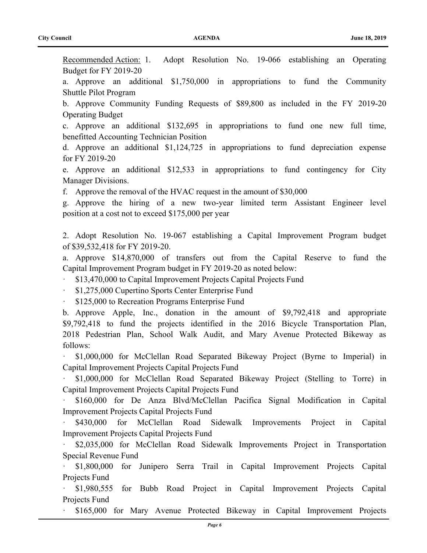Recommended Action:1. Adopt Resolution No. 19-066 establishing an Operating Budget for FY 2019-20

a. Approve an additional \$1,750,000 in appropriations to fund the Community Shuttle Pilot Program

b. Approve Community Funding Requests of \$89,800 as included in the FY 2019-20 Operating Budget

c. Approve an additional \$132,695 in appropriations to fund one new full time, benefitted Accounting Technician Position

d. Approve an additional \$1,124,725 in appropriations to fund depreciation expense for FY 2019-20

e. Approve an additional \$12,533 in appropriations to fund contingency for City Manager Divisions.

f. Approve the removal of the HVAC request in the amount of \$30,000

g. Approve the hiring of a new two-year limited term Assistant Engineer level position at a cost not to exceed \$175,000 per year

2. Adopt Resolution No. 19-067 establishing a Capital Improvement Program budget of \$39,532,418 for FY 2019-20.

a. Approve \$14,870,000 of transfers out from the Capital Reserve to fund the Capital Improvement Program budget in FY 2019-20 as noted below:

· \$13,470,000 to Capital Improvement Projects Capital Projects Fund

· \$1,275,000 Cupertino Sports Center Enterprise Fund

\$125,000 to Recreation Programs Enterprise Fund

b. Approve Apple, Inc., donation in the amount of \$9,792,418 and appropriate \$9,792,418 to fund the projects identified in the 2016 Bicycle Transportation Plan, 2018 Pedestrian Plan, School Walk Audit, and Mary Avenue Protected Bikeway as follows:

· \$1,000,000 for McClellan Road Separated Bikeway Project (Byrne to Imperial) in Capital Improvement Projects Capital Projects Fund

· \$1,000,000 for McClellan Road Separated Bikeway Project (Stelling to Torre) in Capital Improvement Projects Capital Projects Fund

· \$160,000 for De Anza Blvd/McClellan Pacifica Signal Modification in Capital Improvement Projects Capital Projects Fund

\$430,000 for McClellan Road Sidewalk Improvements Project in Capital Improvement Projects Capital Projects Fund

· \$2,035,000 for McClellan Road Sidewalk Improvements Project in Transportation Special Revenue Fund

· \$1,800,000 for Junipero Serra Trail in Capital Improvement Projects Capital Projects Fund

· \$1,980,555 for Bubb Road Project in Capital Improvement Projects Capital Projects Fund

· \$165,000 for Mary Avenue Protected Bikeway in Capital Improvement Projects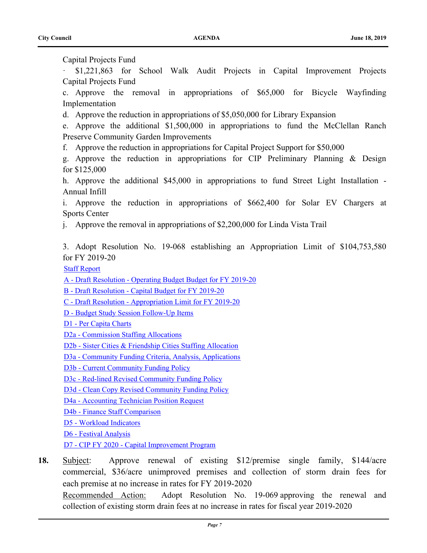Capital Projects Fund

· \$1,221,863 for School Walk Audit Projects in Capital Improvement Projects Capital Projects Fund

c. Approve the removal in appropriations of \$65,000 for Bicycle Wayfinding Implementation

d. Approve the reduction in appropriations of \$5,050,000 for Library Expansion

e. Approve the additional \$1,500,000 in appropriations to fund the McClellan Ranch Preserve Community Garden Improvements

f. Approve the reduction in appropriations for Capital Project Support for \$50,000

g. Approve the reduction in appropriations for CIP Preliminary Planning & Design for \$125,000

h. Approve the additional \$45,000 in appropriations to fund Street Light Installation - Annual Infill

i. Approve the reduction in appropriations of \$662,400 for Solar EV Chargers at Sports Center

j. Approve the removal in appropriations of \$2,200,000 for Linda Vista Trail

3. Adopt Resolution No. 19-068 establishing an Appropriation Limit of \$104,753,580 for FY 2019-20

[Staff Report](http://cupertino.legistar.com/gateway.aspx?M=F&ID=328257e6-2633-4cda-ad3b-85bd60fb32f7.docx)

[A - Draft Resolution - Operating Budget Budget for FY 2019-20](http://cupertino.legistar.com/gateway.aspx?M=F&ID=4a9a04ed-b79a-4193-8685-f5675d01a185.docx)

[B - Draft Resolution - Capital Budget for FY 2019-20](http://cupertino.legistar.com/gateway.aspx?M=F&ID=c6c2d2e6-1265-4bc4-9f1f-8b77653d4ffd.docx)

[C - Draft Resolution - Appropriation Limit for FY 2019-20](http://cupertino.legistar.com/gateway.aspx?M=F&ID=95df530c-a431-4dac-9689-55732b9e38eb.docx)

[D - Budget Study Session Follow-Up Items](http://cupertino.legistar.com/gateway.aspx?M=F&ID=8b6f588b-98d3-4cae-bc84-900a0c110a74.docx)

[D1 - Per Capita Charts](http://cupertino.legistar.com/gateway.aspx?M=F&ID=f1cc3374-dc89-45e4-8cd9-cfacba3c6b9f.pdf)

[D2a - Commission Staffing Allocations](http://cupertino.legistar.com/gateway.aspx?M=F&ID=a43dd905-6298-4252-a666-1562b1172367.pdf)

[D2b - Sister Cities & Friendship Cities Staffing Allocation](http://cupertino.legistar.com/gateway.aspx?M=F&ID=aaf9ad8f-9d28-4267-b4e9-1a0eb90737f4.pdf)

[D3a - Community Funding Criteria, Analysis, Applications](http://cupertino.legistar.com/gateway.aspx?M=F&ID=57599810-784a-4047-969b-55e1aca696cc.pdf)

[D3b - Current Community Funding Policy](http://cupertino.legistar.com/gateway.aspx?M=F&ID=21853a7a-70c4-4ace-b6b0-f95c2a1aa649.pdf)

[D3c - Red-lined Revised Community Funding Policy](http://cupertino.legistar.com/gateway.aspx?M=F&ID=716a8131-5144-4705-84ff-419abf37c938.pdf)

[D3d - Clean Copy Revised Community Funding Policy](http://cupertino.legistar.com/gateway.aspx?M=F&ID=e0d0e35b-0e36-41c0-a1cd-85b11a5a56a0.pdf)

[D4a - Accounting Technician Position Request](http://cupertino.legistar.com/gateway.aspx?M=F&ID=dc9864e5-32c8-4f92-9cae-e657c000a7c8.pdf)

[D4b - Finance Staff Comparison](http://cupertino.legistar.com/gateway.aspx?M=F&ID=1c4a401b-36d9-4b85-8080-dee0306f22d9.pdf)

[D5 - Workload Indicators](http://cupertino.legistar.com/gateway.aspx?M=F&ID=d1a67893-b978-4b9c-9577-48368d8cdc06.pdf)

[D6 - Festival Analysis](http://cupertino.legistar.com/gateway.aspx?M=F&ID=20a51d28-5eab-4f45-9911-3e369bef0389.pdf)

[D7 - CIP FY 2020 - Capital Improvement Program](http://cupertino.legistar.com/gateway.aspx?M=F&ID=b69c9158-0b8e-4613-b03c-b06f4e906442.pdf)

**18.** [Subject: Approve renewal of existing \\$12/premise single family, \\$144/acre](http://cupertino.legistar.com/gateway.aspx?m=l&id=6310) commercial, \$36/acre unimproved premises and collection of storm drain fees for each premise at no increase in rates for FY 2019-2020 Recommended Action:Adopt Resolution No. 19-069 approving the renewal and collection of existing storm drain fees at no increase in rates for fiscal year 2019-2020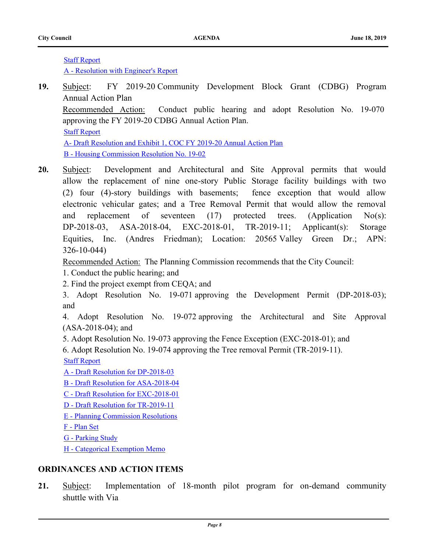[Staff Report](http://cupertino.legistar.com/gateway.aspx?M=F&ID=a81e8174-e134-4c61-9419-065a9136be01.docx)

[A - Resolution with Engineer's Report](http://cupertino.legistar.com/gateway.aspx?M=F&ID=2ec4d1f2-ea11-4ce8-95f4-139633011ab3.docx)

- **19.** [Subject: FY 2019-20 Community Development Block Grant \(CDBG\)](http://cupertino.legistar.com/gateway.aspx?m=l&id=6496) Program Annual Action Plan Recommended Action:Conduct public hearing and adopt Resolution No. 19-070 approving the FY 2019-20 CDBG Annual Action Plan. [Staff Report](http://cupertino.legistar.com/gateway.aspx?M=F&ID=b50d1aa3-68e1-4456-a73c-bb94a72897f6.docx) [A- Draft Resolution and Exhibit 1, COC FY 2019-20 Annual Action Plan](http://cupertino.legistar.com/gateway.aspx?M=F&ID=7fd50139-b1ee-45c1-a766-d4cd5e37d1c2.pdf) [B - Housing Commission Resolution No. 19-02](http://cupertino.legistar.com/gateway.aspx?M=F&ID=e4940db8-00cb-446d-81c2-fee4d8162392.pdf)
- **20.** Subject: Development and Architectural and Site Approval permits that would [allow the replacement of nine one-story Public Storage facility buildings with two](http://cupertino.legistar.com/gateway.aspx?m=l&id=6621)  (2) four (4)-story buildings with basements; fence exception that would allow electronic vehicular gates; and a Tree Removal Permit that would allow the removal and replacement of seventeen (17) protected trees. (Application No(s): DP-2018-03, ASA-2018-04, EXC-2018-01, TR-2019-11; Applicant(s): Storage Equities, Inc. (Andres Friedman); Location: 20565 Valley Green Dr.; APN: 326-10-044)

Recommended Action:The Planning Commission recommends that the City Council:

- 1. Conduct the public hearing; and
- 2. Find the project exempt from CEQA; and

3. Adopt Resolution No. 19-071 approving the Development Permit (DP-2018-03); and

4. Adopt Resolution No. 19-072 approving the Architectural and Site Approval (ASA-2018-04); and

- 5. Adopt Resolution No. 19-073 approving the Fence Exception (EXC-2018-01); and
- 6. Adopt Resolution No. 19-074 approving the Tree removal Permit (TR-2019-11).
- [Staff Report](http://cupertino.legistar.com/gateway.aspx?M=F&ID=8926da80-b324-41bf-9cb0-5e260765ad69.docx)
- [A Draft Resolution for DP-2018-03](http://cupertino.legistar.com/gateway.aspx?M=F&ID=a4f2cee4-6da4-46e5-aa29-8d18d37a5e31.DOCX)
- [B Draft Resolution for ASA-2018-04](http://cupertino.legistar.com/gateway.aspx?M=F&ID=3e301110-0864-4023-9302-81ae55579194.docx)
- [C Draft Resolution for EXC-2018-01](http://cupertino.legistar.com/gateway.aspx?M=F&ID=72797552-3a76-4218-9e12-d73507dc92c9.docx)
- [D Draft Resolution for TR-2019-11](http://cupertino.legistar.com/gateway.aspx?M=F&ID=fc28d667-4c8c-45e6-8566-2b96d62bca22.doc)
- [E Planning Commission Resolutions](http://cupertino.legistar.com/gateway.aspx?M=F&ID=a570e819-4f13-414c-93dc-c9bd2fe714ea.pdf)
- [F Plan Set](http://cupertino.legistar.com/gateway.aspx?M=F&ID=5a53d304-b9b5-45f9-8f88-f5f7c642e962.pdf)
- [G Parking Study](http://cupertino.legistar.com/gateway.aspx?M=F&ID=f558113f-e072-467b-8e44-e47d0649c3db.pdf)
- [H Categorical Exemption Memo](http://cupertino.legistar.com/gateway.aspx?M=F&ID=a8d1d33a-7e02-48f8-a243-47fbe7648523.pdf)

## **ORDINANCES AND ACTION ITEMS**

**21.** [Subject: Implementation of 18-month pilot program for on-demand community](http://cupertino.legistar.com/gateway.aspx?m=l&id=6789) shuttle with Via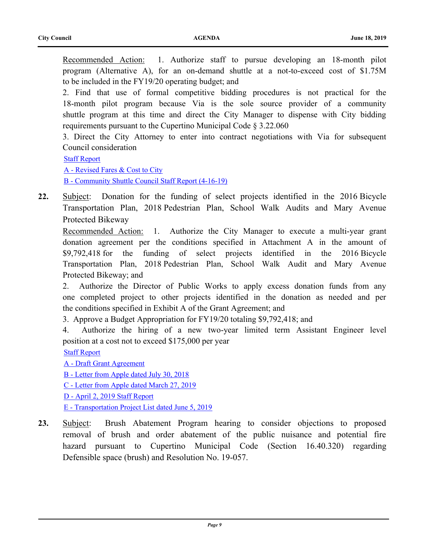Recommended Action:1. Authorize staff to pursue developing an 18-month pilot program (Alternative A), for an on-demand shuttle at a not-to-exceed cost of \$1.75M to be included in the FY19/20 operating budget; and

2. Find that use of formal competitive bidding procedures is not practical for the 18-month pilot program because Via is the sole source provider of a community shuttle program at this time and direct the City Manager to dispense with City bidding requirements pursuant to the Cupertino Municipal Code § 3.22.060

3. Direct the City Attorney to enter into contract negotiations with Via for subsequent Council consideration

[Staff Report](http://cupertino.legistar.com/gateway.aspx?M=F&ID=9cdd34bd-3cfb-4774-9286-7ec51c11e2b0.docx)

[A - Revised Fares & Cost to City](http://cupertino.legistar.com/gateway.aspx?M=F&ID=ba68a20f-1420-47d6-995a-eecc80c7daf7.pdf) [B - Community Shuttle Council Staff Report \(4-16-19\)](http://cupertino.legistar.com/gateway.aspx?M=F&ID=cae7c389-dea7-4101-b162-8e7621c3404b.pdf)

**22.** [Subject: Donation for the funding of select projects identified in the 2016 Bicycle](http://cupertino.legistar.com/gateway.aspx?m=l&id=6513) Transportation Plan, 2018 Pedestrian Plan, School Walk Audits and Mary Avenue Protected Bikeway

Recommended Action:1. Authorize the City Manager to execute a multi-year grant donation agreement per the conditions specified in Attachment A in the amount of \$9,792,418 for the funding of select projects identified in the 2016 Bicycle Transportation Plan, 2018 Pedestrian Plan, School Walk Audit and Mary Avenue Protected Bikeway; and

2. Authorize the Director of Public Works to apply excess donation funds from any one completed project to other projects identified in the donation as needed and per the conditions specified in Exhibit A of the Grant Agreement; and

3. Approve a Budget Appropriation for FY19/20 totaling \$9,792,418; and

4. Authorize the hiring of a new two-year limited term Assistant Engineer level position at a cost not to exceed \$175,000 per year

[Staff Report](http://cupertino.legistar.com/gateway.aspx?M=F&ID=4052b579-6608-42e4-8fa3-a6271ed87e12.docx)

[A - Draft Grant Agreement](http://cupertino.legistar.com/gateway.aspx?M=F&ID=18d9effc-25cb-4580-a8a4-002a23875620.pdf) [B - Letter from Apple dated July 30, 2018](http://cupertino.legistar.com/gateway.aspx?M=F&ID=54d3f09d-2d8a-492b-ae9c-7e56b1029dfc.pdf) [C - Letter from Apple dated March 27, 2019](http://cupertino.legistar.com/gateway.aspx?M=F&ID=d8c88f6f-75f3-4f61-baf1-964a553e9e2e.pdf) [D - April 2, 2019 Staff Report](http://cupertino.legistar.com/gateway.aspx?M=F&ID=627e0555-3b8a-4d1f-acd2-7b3bbc65e803.pdf) [E - Transportation Project List dated June 5, 2019](http://cupertino.legistar.com/gateway.aspx?M=F&ID=4494a323-f854-4d82-84c5-8fb90df2c119.pdf)

**23.** [Subject: Brush Abatement Program hearing to consider objections to proposed](http://cupertino.legistar.com/gateway.aspx?m=l&id=6457)  removal of brush and order abatement of the public nuisance and potential fire hazard pursuant to Cupertino Municipal Code (Section 16.40.320) regarding Defensible space (brush) and Resolution No. 19-057.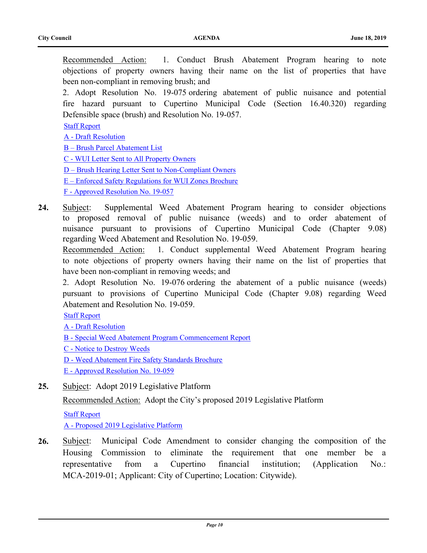Recommended Action:1. Conduct Brush Abatement Program hearing to note objections of property owners having their name on the list of properties that have been non-compliant in removing brush; and

2. Adopt Resolution No. 19-075 ordering abatement of public nuisance and potential fire hazard pursuant to Cupertino Municipal Code (Section 16.40.320) regarding Defensible space (brush) and Resolution No. 19-057.

[Staff Report](http://cupertino.legistar.com/gateway.aspx?M=F&ID=9f229463-29bb-4f1e-9e9c-abeb58bfb1a8.docx)

- [A Draft Resolution](http://cupertino.legistar.com/gateway.aspx?M=F&ID=ad6359d0-e9aa-4374-8be7-78b9dca29efb.doc)
- [B Brush Parcel Abatement List](http://cupertino.legistar.com/gateway.aspx?M=F&ID=8475dd59-11a4-4f74-92c1-e73f0dd4828d.pdf)
- [C WUI Letter Sent to All Property Owners](http://cupertino.legistar.com/gateway.aspx?M=F&ID=9bbf6a78-abe0-44b7-96ec-2db4f8bb3393.pdf)
- [D Brush Hearing Letter Sent to Non-Compliant Owners](http://cupertino.legistar.com/gateway.aspx?M=F&ID=9b36b9d1-9fb0-415e-b55b-a491b3fde1bb.pdf)
- [E Enforced Safety Regulations for WUI Zones Brochure](http://cupertino.legistar.com/gateway.aspx?M=F&ID=7b5bfc1b-b229-42aa-8d29-2a9bc4800b1c.pdf)

[F - Approved Resolution No. 19-057](http://cupertino.legistar.com/gateway.aspx?M=F&ID=96e9031c-194e-4242-bc6c-122d9abfc2e4.pdf)

**24.** [Subject: Supplemental Weed Abatement Program hearing to consider objections](http://cupertino.legistar.com/gateway.aspx?m=l&id=6757)  to proposed removal of public nuisance (weeds) and to order abatement of nuisance pursuant to provisions of Cupertino Municipal Code (Chapter 9.08) regarding Weed Abatement and Resolution No. 19-059.

Recommended Action:1. Conduct supplemental Weed Abatement Program hearing to note objections of property owners having their name on the list of properties that have been non-compliant in removing weeds; and

2. Adopt Resolution No. 19-076 ordering the abatement of a public nuisance (weeds) pursuant to provisions of Cupertino Municipal Code (Chapter 9.08) regarding Weed Abatement and Resolution No. 19-059.

[Staff Report](http://cupertino.legistar.com/gateway.aspx?M=F&ID=fd4d6979-02fe-466c-9bd0-5a77c5d7f289.docx)

- [A Draft Resolution](http://cupertino.legistar.com/gateway.aspx?M=F&ID=29d0aa7f-b863-425d-8ecc-509babb4f074.docx)
- [B Special Weed Abatement Program Commencement Report](http://cupertino.legistar.com/gateway.aspx?M=F&ID=1ee5b358-4157-4e53-bc3e-b6d7098e7bc1.pdf)
- [C Notice to Destroy Weeds](http://cupertino.legistar.com/gateway.aspx?M=F&ID=0fd6acc7-c6b2-48f0-9dbc-5f091e5d503d.pdf)
- [D Weed Abatement Fire Safety Standards Brochure](http://cupertino.legistar.com/gateway.aspx?M=F&ID=4ed2e6ca-b465-4675-a84f-04a99a124c65.pdf)
- [E Approved Resolution No. 19-059](http://cupertino.legistar.com/gateway.aspx?M=F&ID=1ea98b8f-8cc1-4525-810e-10c924c07194.pdf)
- **25.** [Subject: Adopt 2019 Legislative Platform](http://cupertino.legistar.com/gateway.aspx?m=l&id=6319)

Recommended Action:Adopt the City's proposed 2019 Legislative Platform

[Staff Report](http://cupertino.legistar.com/gateway.aspx?M=F&ID=c939b9f0-079c-4ba4-a6ed-646039b3a8de.docx) [A - Proposed 2019 Legislative Platform](http://cupertino.legistar.com/gateway.aspx?M=F&ID=ebf7d9cf-88ff-4c8e-9ac2-706fabbd7d12.docx)

**26.** [Subject: Municipal Code Amendment to consider changing the composition of the](http://cupertino.legistar.com/gateway.aspx?m=l&id=6701)  Housing Commission to eliminate the requirement that one member be a representative from a Cupertino financial institution; (Application No.: MCA-2019-01; Applicant: City of Cupertino; Location: Citywide).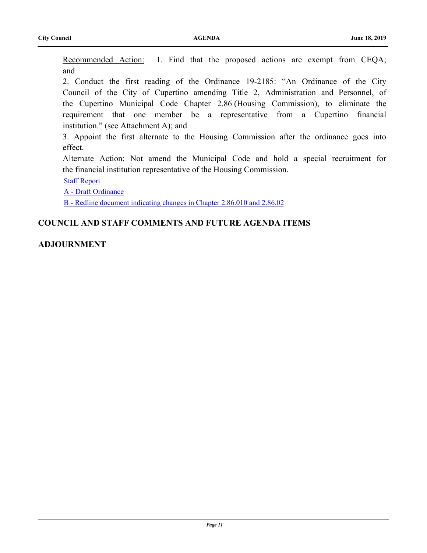Recommended Action:1. Find that the proposed actions are exempt from CEQA; and

2. Conduct the first reading of the Ordinance 19-2185: "An Ordinance of the City Council of the City of Cupertino amending Title 2, Administration and Personnel, of the Cupertino Municipal Code Chapter 2.86 (Housing Commission), to eliminate the requirement that one member be a representative from a Cupertino financial institution." (see Attachment A); and

3. Appoint the first alternate to the Housing Commission after the ordinance goes into effect.

Alternate Action: Not amend the Municipal Code and hold a special recruitment for the financial institution representative of the Housing Commission.

[Staff Report](http://cupertino.legistar.com/gateway.aspx?M=F&ID=fd1719b0-6e2c-4f6c-a833-0a85f934b48a.docx)

[A - Draft Ordinance](http://cupertino.legistar.com/gateway.aspx?M=F&ID=c85ed898-245d-44c2-a176-41613b55e766.docx)

[B - Redline document indicating changes in Chapter 2.86.010 and 2.86.02](http://cupertino.legistar.com/gateway.aspx?M=F&ID=33ee3b5e-816c-45dd-ad8e-90202d4c1188.pdf)

## **COUNCIL AND STAFF COMMENTS AND FUTURE AGENDA ITEMS**

## **ADJOURNMENT**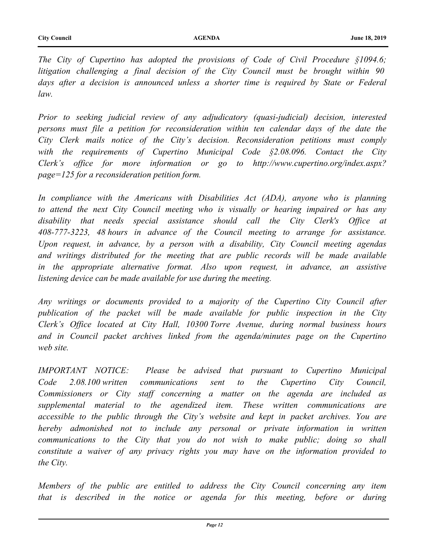*The City of Cupertino has adopted the provisions of Code of Civil Procedure §1094.6; litigation challenging a final decision of the City Council must be brought within 90*  days after a decision is announced unless a shorter time is required by State or Federal *law.*

*Prior to seeking judicial review of any adjudicatory (quasi-judicial) decision, interested persons must file a petition for reconsideration within ten calendar days of the date the City Clerk mails notice of the City's decision. Reconsideration petitions must comply with the requirements of Cupertino Municipal Code §2.08.096. Contact the City Clerk's office for more information or go to http://www.cupertino.org/index.aspx? page=125 for a reconsideration petition form.* 

In compliance with the Americans with Disabilities Act (ADA), anyone who is planning *to attend the next City Council meeting who is visually or hearing impaired or has any disability that needs special assistance should call the City Clerk's Office at 408-777-3223, 48 hours in advance of the Council meeting to arrange for assistance. Upon request, in advance, by a person with a disability, City Council meeting agendas and writings distributed for the meeting that are public records will be made available in the appropriate alternative format. Also upon request, in advance, an assistive listening device can be made available for use during the meeting.* 

*Any writings or documents provided to a majority of the Cupertino City Council after publication of the packet will be made available for public inspection in the City Clerk's Office located at City Hall, 10300 Torre Avenue, during normal business hours*  and in Council packet archives linked from the agenda/minutes page on the Cupertino *web site.*

*IMPORTANT NOTICE: Please be advised that pursuant to Cupertino Municipal Code 2.08.100 written communications sent to the Cupertino City Council, Commissioners or City staff concerning a matter on the agenda are included as supplemental material to the agendized item. These written communications are accessible to the public through the City's website and kept in packet archives. You are hereby admonished not to include any personal or private information in written communications to the City that you do not wish to make public; doing so shall constitute a waiver of any privacy rights you may have on the information provided to the City.* 

*Members of the public are entitled to address the City Council concerning any item that is described in the notice or agenda for this meeting, before or during*